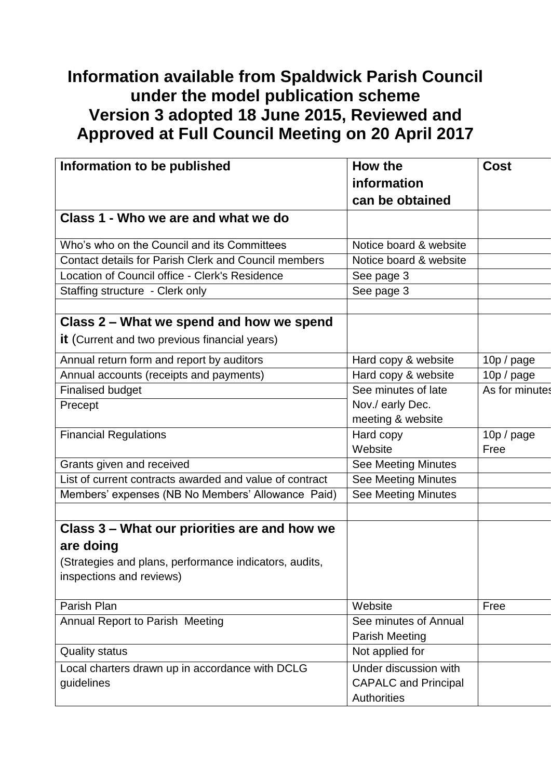## **Information available from Spaldwick Parish Council under the model publication scheme Version 3 adopted 18 June 2015, Reviewed and Approved at Full Council Meeting on 20 April 2017**

| Information to be published                                 | How the                     | <b>Cost</b>    |
|-------------------------------------------------------------|-----------------------------|----------------|
|                                                             | information                 |                |
|                                                             | can be obtained             |                |
| Class 1 - Who we are and what we do                         |                             |                |
|                                                             |                             |                |
| Who's who on the Council and its Committees                 | Notice board & website      |                |
| <b>Contact details for Parish Clerk and Council members</b> | Notice board & website      |                |
| Location of Council office - Clerk's Residence              | See page 3                  |                |
| Staffing structure - Clerk only                             | See page 3                  |                |
|                                                             |                             |                |
| Class 2 – What we spend and how we spend                    |                             |                |
| <b>it</b> (Current and two previous financial years)        |                             |                |
| Annual return form and report by auditors                   | Hard copy & website         | 10p / page     |
| Annual accounts (receipts and payments)                     | Hard copy & website         | 10p / page     |
| <b>Finalised budget</b>                                     | See minutes of late         | As for minutes |
| Precept                                                     | Nov./ early Dec.            |                |
|                                                             | meeting & website           |                |
| <b>Financial Regulations</b>                                | Hard copy                   | 10p / page     |
|                                                             | Website                     | Free           |
| Grants given and received                                   | <b>See Meeting Minutes</b>  |                |
| List of current contracts awarded and value of contract     | See Meeting Minutes         |                |
| Members' expenses (NB No Members' Allowance Paid)           | <b>See Meeting Minutes</b>  |                |
|                                                             |                             |                |
| Class 3 – What our priorities are and how we                |                             |                |
| are doing                                                   |                             |                |
| (Strategies and plans, performance indicators, audits,      |                             |                |
| inspections and reviews)                                    |                             |                |
|                                                             |                             |                |
| Parish Plan                                                 | Website                     | Free           |
| Annual Report to Parish Meeting                             | See minutes of Annual       |                |
|                                                             | <b>Parish Meeting</b>       |                |
| <b>Quality status</b>                                       | Not applied for             |                |
| Local charters drawn up in accordance with DCLG             | Under discussion with       |                |
| guidelines                                                  | <b>CAPALC</b> and Principal |                |
|                                                             | Authorities                 |                |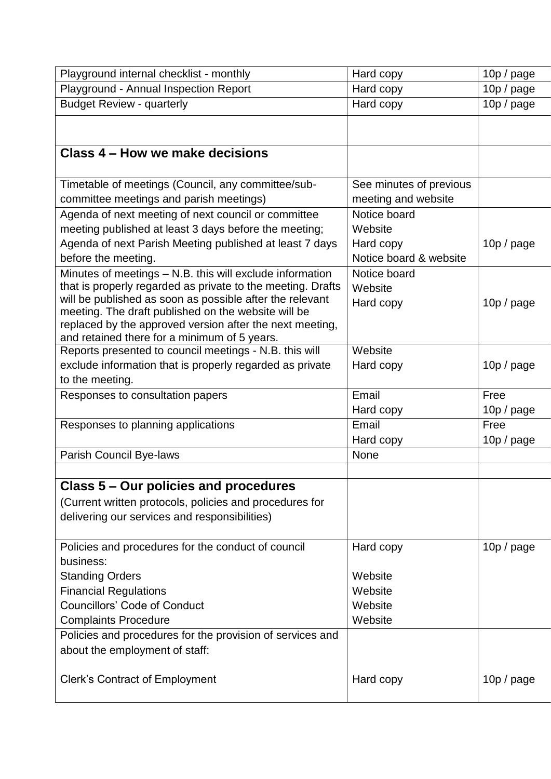| Playground internal checklist - monthly                                                                         | Hard copy               | 10p / page |
|-----------------------------------------------------------------------------------------------------------------|-------------------------|------------|
| Playground - Annual Inspection Report                                                                           | Hard copy               | 10p / page |
| <b>Budget Review - quarterly</b>                                                                                | Hard copy               | 10p / page |
|                                                                                                                 |                         |            |
|                                                                                                                 |                         |            |
| Class 4 – How we make decisions                                                                                 |                         |            |
|                                                                                                                 |                         |            |
| Timetable of meetings (Council, any committee/sub-                                                              | See minutes of previous |            |
| committee meetings and parish meetings)                                                                         | meeting and website     |            |
| Agenda of next meeting of next council or committee                                                             | Notice board            |            |
| meeting published at least 3 days before the meeting;                                                           | Website                 |            |
| Agenda of next Parish Meeting published at least 7 days                                                         | Hard copy               | 10p / page |
| before the meeting.                                                                                             | Notice board & website  |            |
| Minutes of meetings - N.B. this will exclude information                                                        | Notice board            |            |
| that is properly regarded as private to the meeting. Drafts                                                     | Website                 |            |
| will be published as soon as possible after the relevant                                                        | Hard copy               | 10p / page |
| meeting. The draft published on the website will be<br>replaced by the approved version after the next meeting, |                         |            |
| and retained there for a minimum of 5 years.                                                                    |                         |            |
| Reports presented to council meetings - N.B. this will                                                          | Website                 |            |
| exclude information that is properly regarded as private                                                        | Hard copy               | 10p / page |
| to the meeting.                                                                                                 |                         |            |
| Responses to consultation papers                                                                                | Email                   | Free       |
|                                                                                                                 | Hard copy               | 10p / page |
| Responses to planning applications                                                                              | Email                   | Free       |
|                                                                                                                 | Hard copy               | 10p / page |
| Parish Council Bye-laws                                                                                         | <b>None</b>             |            |
|                                                                                                                 |                         |            |
| Class 5 – Our policies and procedures                                                                           |                         |            |
| (Current written protocols, policies and procedures for                                                         |                         |            |
| delivering our services and responsibilities)                                                                   |                         |            |
|                                                                                                                 |                         |            |
| Policies and procedures for the conduct of council                                                              | Hard copy               | 10p / page |
| business:                                                                                                       |                         |            |
| <b>Standing Orders</b>                                                                                          | Website                 |            |
| <b>Financial Regulations</b>                                                                                    | Website                 |            |
| <b>Councillors' Code of Conduct</b>                                                                             | Website                 |            |
| <b>Complaints Procedure</b>                                                                                     | Website                 |            |
| Policies and procedures for the provision of services and                                                       |                         |            |
| about the employment of staff:                                                                                  |                         |            |
|                                                                                                                 |                         |            |
| <b>Clerk's Contract of Employment</b>                                                                           | Hard copy               | 10p / page |
|                                                                                                                 |                         |            |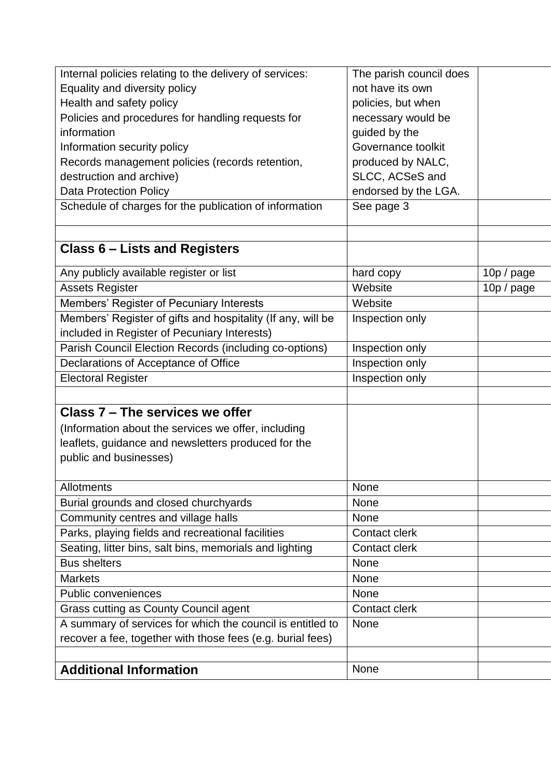| Internal policies relating to the delivery of services:     | The parish council does |            |
|-------------------------------------------------------------|-------------------------|------------|
| Equality and diversity policy                               | not have its own        |            |
| Health and safety policy                                    | policies, but when      |            |
| Policies and procedures for handling requests for           | necessary would be      |            |
| information                                                 | guided by the           |            |
| Information security policy                                 | Governance toolkit      |            |
| Records management policies (records retention,             | produced by NALC,       |            |
| destruction and archive)                                    | SLCC, ACSeS and         |            |
| <b>Data Protection Policy</b>                               | endorsed by the LGA.    |            |
| Schedule of charges for the publication of information      | See page 3              |            |
| <b>Class 6 - Lists and Registers</b>                        |                         |            |
|                                                             |                         |            |
| Any publicly available register or list                     | hard copy               | 10p / page |
| <b>Assets Register</b>                                      | Website                 | 10p / page |
| Members' Register of Pecuniary Interests                    | Website                 |            |
| Members' Register of gifts and hospitality (If any, will be | Inspection only         |            |
| included in Register of Pecuniary Interests)                |                         |            |
| Parish Council Election Records (including co-options)      | Inspection only         |            |
| Declarations of Acceptance of Office                        | Inspection only         |            |
| <b>Electoral Register</b>                                   | Inspection only         |            |
| Class 7 - The services we offer                             |                         |            |
|                                                             |                         |            |
| (Information about the services we offer, including         |                         |            |
| leaflets, guidance and newsletters produced for the         |                         |            |
| public and businesses)                                      |                         |            |
| <b>Allotments</b>                                           | None                    |            |
| Burial grounds and closed churchyards                       | None                    |            |
| Community centres and village halls                         | <b>None</b>             |            |
| Parks, playing fields and recreational facilities           | <b>Contact clerk</b>    |            |
| Seating, litter bins, salt bins, memorials and lighting     | <b>Contact clerk</b>    |            |
| <b>Bus shelters</b>                                         | <b>None</b>             |            |
| <b>Markets</b>                                              | <b>None</b>             |            |
| <b>Public conveniences</b>                                  | None                    |            |
| Grass cutting as County Council agent                       | <b>Contact clerk</b>    |            |
| A summary of services for which the council is entitled to  | None                    |            |
| recover a fee, together with those fees (e.g. burial fees)  |                         |            |
|                                                             |                         |            |
| <b>Additional Information</b>                               | None                    |            |